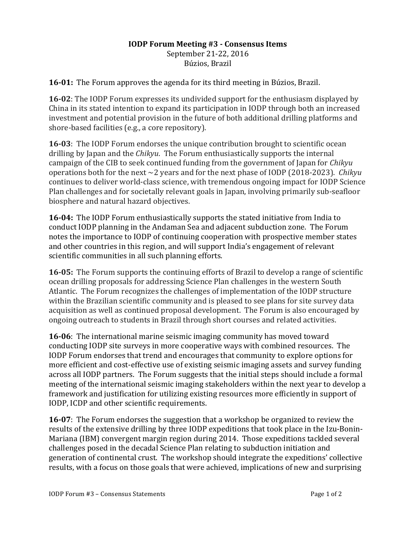## **IODP Forum Meeting #3 - Consensus Items** September 21-22, 2016 Búzios, Brazil

**16-01:** The Forum approves the agenda for its third meeting in Búzios, Brazil.

**16-02**: The IODP Forum expresses its undivided support for the enthusiasm displayed by China in its stated intention to expand its participation in IODP through both an increased investment and potential provision in the future of both additional drilling platforms and shore-based facilities (e.g., a core repository).

**16-03**: The IODP Forum endorses the unique contribution brought to scientific ocean drilling by Japan and the *Chikyu*. The Forum enthusiastically supports the internal campaign of the CIB to seek continued funding from the government of Japan for *Chikyu* operations both for the next  $\sim$ 2 years and for the next phase of IODP (2018-2023). *Chikyu* continues to deliver world-class science, with tremendous ongoing impact for IODP Science Plan challenges and for societally relevant goals in Japan, involving primarily sub-seafloor biosphere and natural hazard objectives.

**16-04:** The IODP Forum enthusiastically supports the stated initiative from India to conduct IODP planning in the Andaman Sea and adjacent subduction zone. The Forum notes the importance to IODP of continuing cooperation with prospective member states and other countries in this region, and will support India's engagement of relevant scientific communities in all such planning efforts.

**16-05:** The Forum supports the continuing efforts of Brazil to develop a range of scientific ocean drilling proposals for addressing Science Plan challenges in the western South Atlantic. The Forum recognizes the challenges of implementation of the IODP structure within the Brazilian scientific community and is pleased to see plans for site survey data acquisition as well as continued proposal development. The Forum is also encouraged by ongoing outreach to students in Brazil through short courses and related activities.

**16-06**: The international marine seismic imaging community has moved toward conducting IODP site surveys in more cooperative ways with combined resources. The IODP Forum endorses that trend and encourages that community to explore options for more efficient and cost-effective use of existing seismic imaging assets and survey funding across all IODP partners. The Forum suggests that the initial steps should include a formal meeting of the international seismic imaging stakeholders within the next year to develop a framework and justification for utilizing existing resources more efficiently in support of IODP, ICDP and other scientific requirements.

**16-07**: The Forum endorses the suggestion that a workshop be organized to review the results of the extensive drilling by three IODP expeditions that took place in the Izu-Bonin-Mariana (IBM) convergent margin region during 2014. Those expeditions tackled several challenges posed in the decadal Science Plan relating to subduction initiation and generation of continental crust. The workshop should integrate the expeditions' collective results, with a focus on those goals that were achieved, implications of new and surprising